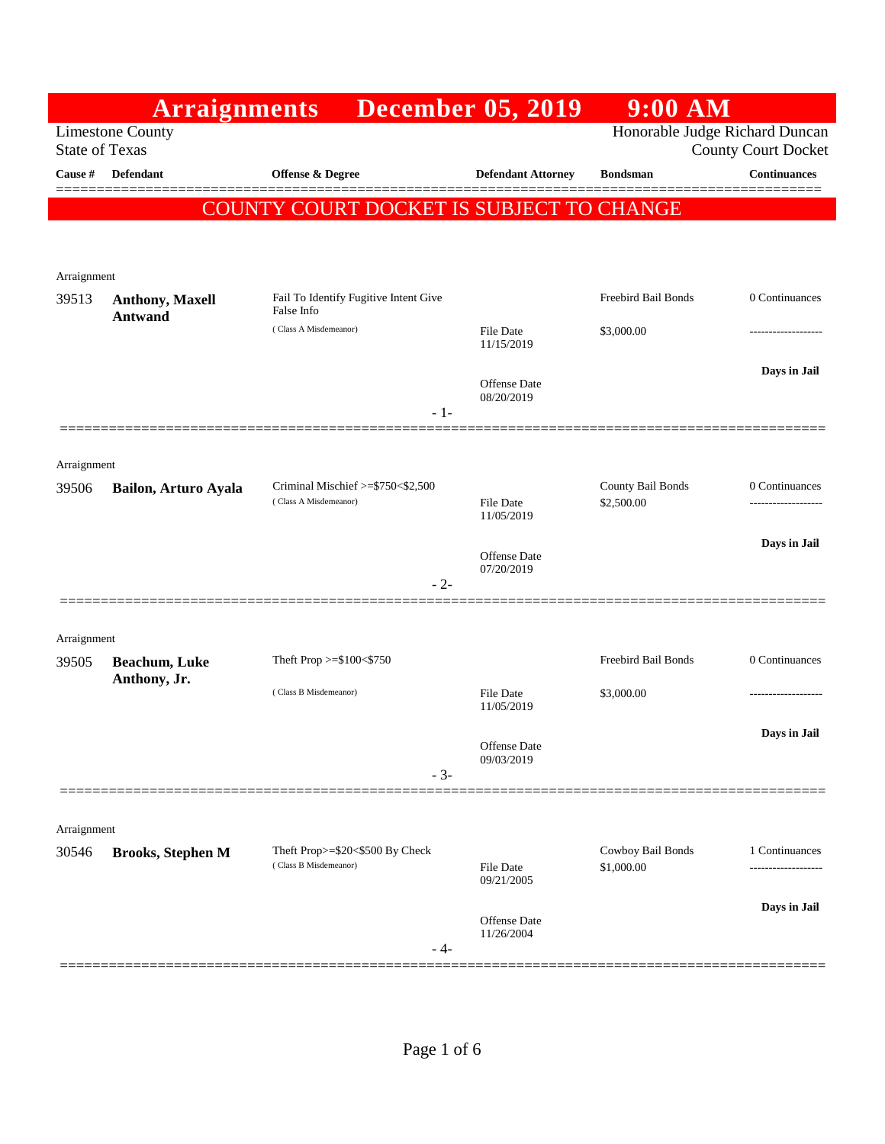|                       | <b>Arraignments</b>      |                                          | <b>December 05, 2019</b>          | $9:00$ AM           |                     |
|-----------------------|--------------------------|------------------------------------------|-----------------------------------|---------------------|---------------------|
| <b>State of Texas</b> | <b>Limestone County</b>  | Honorable Judge Richard Duncan           | <b>County Court Docket</b>        |                     |                     |
| Cause #               | Defendant                | Offense & Degree                         | <b>Defendant Attorney</b>         | <b>Bondsman</b>     | <b>Continuances</b> |
|                       |                          | COUNTY COURT DOCKET IS SUBJECT TO CHANGE |                                   |                     |                     |
|                       |                          |                                          |                                   |                     |                     |
| Arraignment           |                          |                                          |                                   |                     |                     |
| 39513                 | <b>Anthony, Maxell</b>   | Fail To Identify Fugitive Intent Give    |                                   | Freebird Bail Bonds | 0 Continuances      |
|                       | <b>Antwand</b>           | False Info<br>(Class A Misdemeanor)      | File Date                         | \$3,000.00          | ----------------    |
|                       |                          |                                          | 11/15/2019                        |                     |                     |
|                       |                          |                                          | <b>Offense</b> Date               |                     | Days in Jail        |
|                       |                          | $-1-$                                    | 08/20/2019                        |                     |                     |
|                       |                          |                                          |                                   |                     |                     |
| Arraignment<br>39506  |                          | Criminal Mischief $\ge$ \$750 < \$2,500  |                                   | County Bail Bonds   | 0 Continuances      |
|                       | Bailon, Arturo Ayala     | (Class A Misdemeanor)                    | <b>File Date</b><br>11/05/2019    | \$2,500.00          |                     |
|                       |                          |                                          |                                   |                     | Days in Jail        |
|                       |                          |                                          | <b>Offense</b> Date<br>07/20/2019 |                     |                     |
|                       |                          | $-2-$                                    |                                   |                     |                     |
| Arraignment           |                          |                                          |                                   |                     |                     |
| 39505                 | <b>Beachum, Luke</b>     | Theft Prop >=\$100<\$750                 |                                   | Freebird Bail Bonds | 0 Continuances      |
|                       | Anthony, Jr.             | (Class B Misdemeanor)                    | <b>File Date</b>                  | \$3,000.00          |                     |
|                       |                          |                                          | 11/05/2019                        |                     | Days in Jail        |
|                       |                          |                                          | Offense Date<br>09/03/2019        |                     |                     |
|                       |                          | $-3-$                                    |                                   |                     |                     |
|                       |                          |                                          |                                   |                     |                     |
| Arraignment           |                          | Theft Prop>=\$20<\$500 By Check          |                                   | Cowboy Bail Bonds   | 1 Continuances      |
| 30546                 | <b>Brooks, Stephen M</b> | (Class B Misdemeanor)                    | <b>File Date</b><br>09/21/2005    | \$1,000.00          | -----------------   |
|                       |                          |                                          |                                   |                     | Days in Jail        |
|                       |                          |                                          | Offense Date<br>11/26/2004        |                     |                     |
|                       |                          | - 4-                                     |                                   |                     |                     |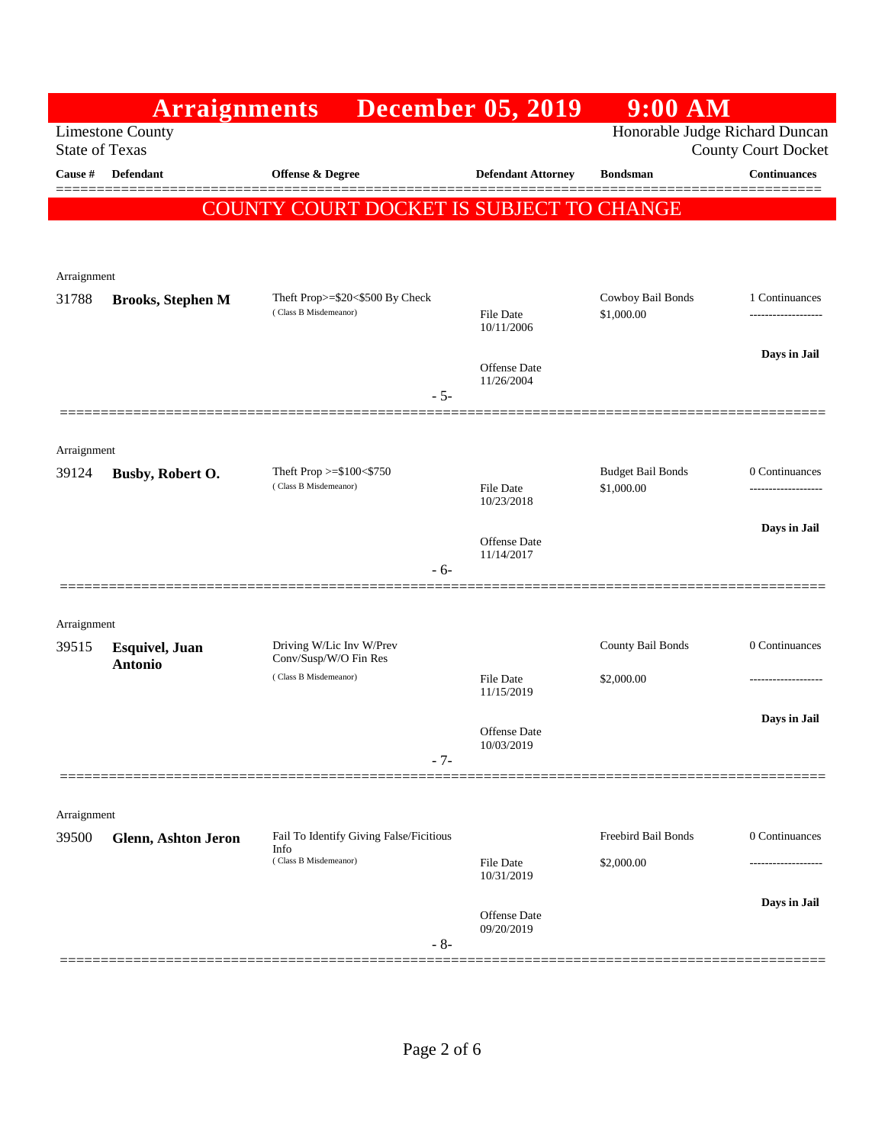|                       | <b>Arraignments</b>                      |                                                   | <b>December 05, 2019</b>          | 9:00 AM                  |                     |
|-----------------------|------------------------------------------|---------------------------------------------------|-----------------------------------|--------------------------|---------------------|
| <b>State of Texas</b> | <b>Limestone County</b>                  | Honorable Judge Richard Duncan                    | <b>County Court Docket</b>        |                          |                     |
| <b>Cause #</b>        | <b>Defendant</b>                         | <b>Offense &amp; Degree</b>                       | <b>Defendant Attorney</b>         | <b>Bondsman</b>          | <b>Continuances</b> |
|                       |                                          | COUNTY COURT DOCKET IS SUBJECT TO CHANGE          |                                   |                          | ======              |
|                       |                                          |                                                   |                                   |                          |                     |
|                       |                                          |                                                   |                                   |                          |                     |
| Arraignment<br>31788  | <b>Brooks, Stephen M</b>                 | Theft Prop>=\$20<\$500 By Check                   |                                   | Cowboy Bail Bonds        | 1 Continuances      |
|                       |                                          | (Class B Misdemeanor)                             | File Date<br>10/11/2006           | \$1,000.00               | ------------------- |
|                       |                                          |                                                   | Offense Date<br>11/26/2004        |                          | Days in Jail        |
|                       |                                          | $-5-$                                             |                                   |                          |                     |
|                       |                                          |                                                   |                                   |                          |                     |
| Arraignment<br>39124  | Busby, Robert O.                         | Theft Prop >=\$100<\$750                          |                                   | <b>Budget Bail Bonds</b> | 0 Continuances      |
|                       |                                          | (Class B Misdemeanor)                             | <b>File Date</b><br>10/23/2018    | \$1,000.00               |                     |
|                       |                                          |                                                   | Offense Date                      |                          | Days in Jail        |
|                       |                                          | $-6-$                                             | 11/14/2017                        |                          |                     |
|                       |                                          |                                                   |                                   |                          |                     |
| Arraignment           |                                          |                                                   |                                   |                          |                     |
| 39515                 | <b>Esquivel</b> , Juan<br><b>Antonio</b> | Driving W/Lic Inv W/Prev<br>Conv/Susp/W/O Fin Res |                                   | County Bail Bonds        | 0 Continuances      |
|                       |                                          | (Class B Misdemeanor)                             | File Date<br>11/15/2019           | \$2,000.00               |                     |
|                       |                                          |                                                   |                                   |                          | Days in Jail        |
|                       |                                          | $-7-$                                             | <b>Offense</b> Date<br>10/03/2019 |                          |                     |
|                       |                                          |                                                   |                                   |                          |                     |
| Arraignment           |                                          |                                                   |                                   |                          |                     |
| 39500                 | <b>Glenn, Ashton Jeron</b>               | Fail To Identify Giving False/Ficitious<br>Info   |                                   | Freebird Bail Bonds      | 0 Continuances      |
|                       |                                          | (Class B Misdemeanor)                             | File Date<br>10/31/2019           | \$2,000.00               |                     |
|                       |                                          |                                                   | Offense Date                      |                          | Days in Jail        |
|                       |                                          | $-8-$                                             | 09/20/2019                        |                          |                     |
|                       |                                          |                                                   |                                   |                          |                     |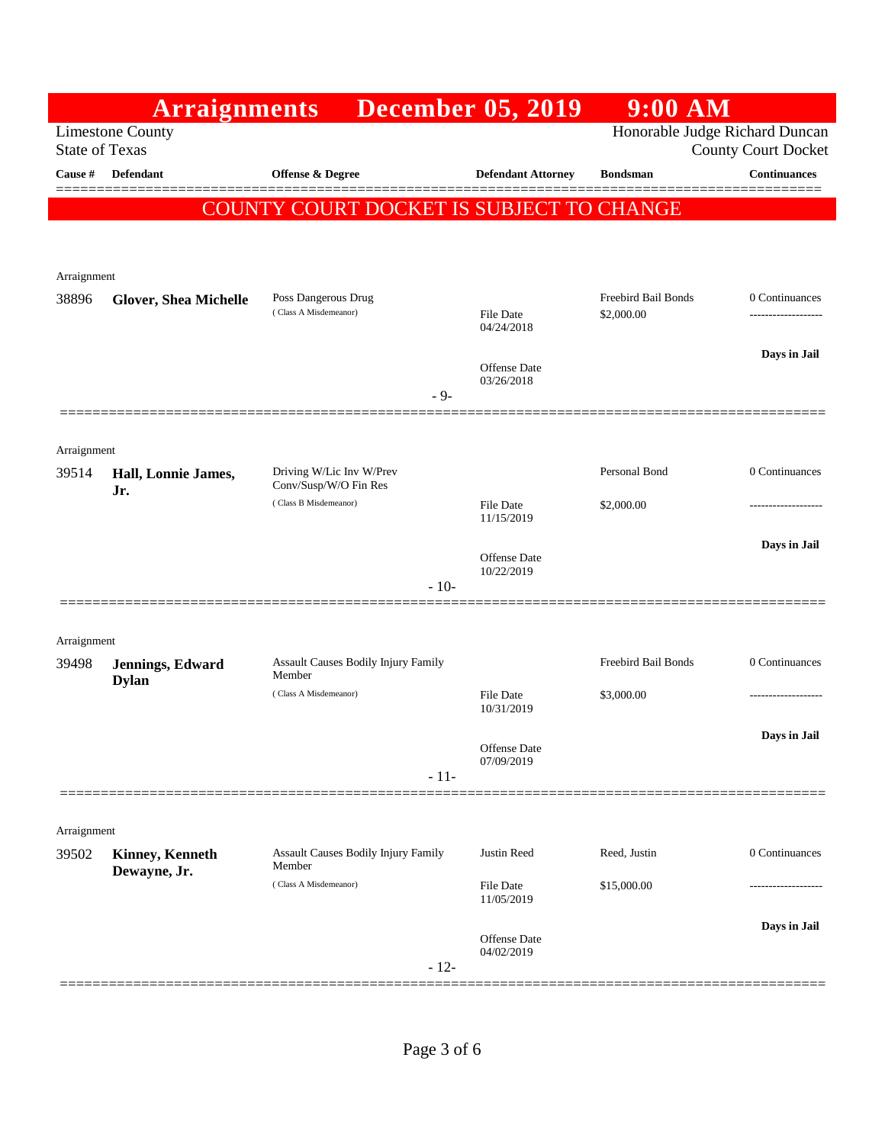|                       | <b>Arraignments</b>          |                                                | <b>December 05, 2019</b>          | $9:00$ AM                         |                            |
|-----------------------|------------------------------|------------------------------------------------|-----------------------------------|-----------------------------------|----------------------------|
| <b>State of Texas</b> | <b>Limestone County</b>      |                                                |                                   | Honorable Judge Richard Duncan    | <b>County Court Docket</b> |
| <b>Cause #</b>        | Defendant                    | <b>Offense &amp; Degree</b>                    | <b>Defendant Attorney</b>         | <b>Bondsman</b>                   | <b>Continuances</b>        |
|                       |                              | COUNTY COURT DOCKET IS SUBJECT TO CHANGE       |                                   |                                   |                            |
|                       |                              |                                                |                                   |                                   |                            |
| Arraignment           |                              |                                                |                                   |                                   |                            |
| 38896                 | <b>Glover, Shea Michelle</b> | Poss Dangerous Drug<br>(Class A Misdemeanor)   | <b>File Date</b>                  | Freebird Bail Bonds<br>\$2,000.00 | 0 Continuances<br>         |
|                       |                              |                                                | 04/24/2018                        |                                   |                            |
|                       |                              |                                                | <b>Offense Date</b><br>03/26/2018 |                                   | Days in Jail               |
|                       |                              | $-9-$                                          |                                   |                                   |                            |
|                       |                              |                                                |                                   |                                   |                            |
| Arraignment<br>39514  | Hall, Lonnie James,          | Driving W/Lic Inv W/Prev                       |                                   | Personal Bond                     | 0 Continuances             |
|                       | Jr.                          | Conv/Susp/W/O Fin Res<br>(Class B Misdemeanor) | File Date                         | \$2,000.00                        | -------------              |
|                       |                              |                                                | 11/15/2019                        |                                   |                            |
|                       |                              |                                                | <b>Offense</b> Date<br>10/22/2019 |                                   | Days in Jail               |
|                       |                              | $-10-$                                         |                                   |                                   |                            |
|                       |                              |                                                |                                   |                                   |                            |
| Arraignment<br>39498  | Jennings, Edward             | <b>Assault Causes Bodily Injury Family</b>     |                                   | Freebird Bail Bonds               | 0 Continuances             |
|                       | <b>Dylan</b>                 | Member<br>(Class A Misdemeanor)                | <b>File Date</b>                  | \$3,000.00                        | --------------             |
|                       |                              |                                                | 10/31/2019                        |                                   |                            |
|                       |                              |                                                | Offense Date<br>07/09/2019        |                                   | Days in Jail               |
|                       |                              | $-11-$                                         |                                   |                                   |                            |
| Arraignment           |                              |                                                |                                   |                                   |                            |
| 39502                 | <b>Kinney, Kenneth</b>       | Assault Causes Bodily Injury Family            | Justin Reed                       | Reed, Justin                      | 0 Continuances             |
|                       | Dewayne, Jr.                 | Member<br>(Class A Misdemeanor)                | File Date                         | \$15,000.00                       |                            |
|                       |                              |                                                | 11/05/2019                        |                                   | Days in Jail               |
|                       |                              |                                                | Offense Date<br>04/02/2019        |                                   |                            |
|                       |                              | $-12-$                                         |                                   |                                   |                            |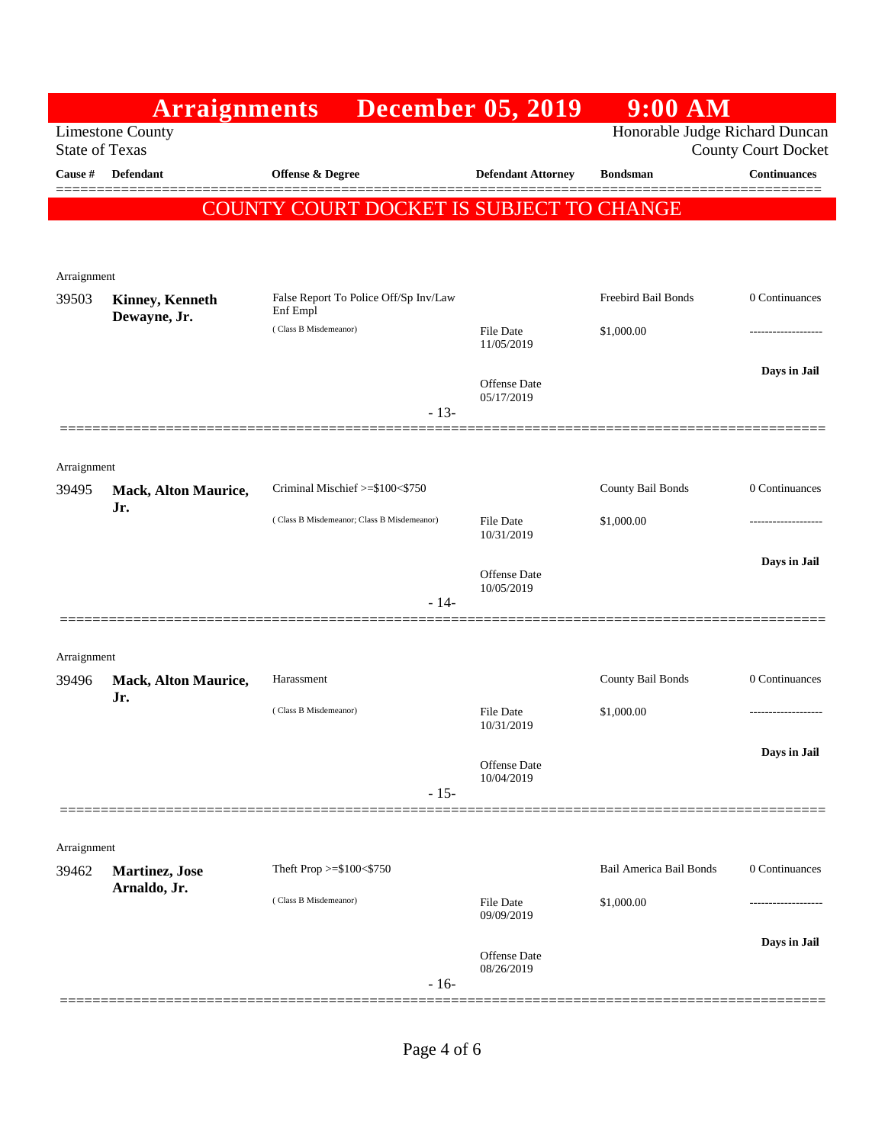|                      | <b>Arraignments</b>                              |                                                   | <b>December 05, 2019</b>       | 9:00 AM                        |                            |
|----------------------|--------------------------------------------------|---------------------------------------------------|--------------------------------|--------------------------------|----------------------------|
|                      | <b>Limestone County</b><br><b>State of Texas</b> |                                                   |                                | Honorable Judge Richard Duncan | <b>County Court Docket</b> |
| Cause #              | <b>Defendant</b>                                 | <b>Offense &amp; Degree</b>                       | <b>Defendant Attorney</b>      | <b>Bondsman</b>                | <b>Continuances</b>        |
|                      |                                                  |                                                   |                                |                                |                            |
|                      |                                                  | COUNTY COURT DOCKET IS SUBJECT TO CHANGE          |                                |                                |                            |
|                      |                                                  |                                                   |                                |                                |                            |
| Arraignment          |                                                  |                                                   |                                |                                |                            |
| 39503                | <b>Kinney, Kenneth</b><br>Dewayne, Jr.           | False Report To Police Off/Sp Inv/Law<br>Enf Empl |                                | <b>Freebird Bail Bonds</b>     | 0 Continuances             |
|                      |                                                  | (Class B Misdemeanor)                             | <b>File Date</b><br>11/05/2019 | \$1,000.00                     |                            |
|                      |                                                  |                                                   |                                |                                | Days in Jail               |
|                      |                                                  |                                                   | Offense Date<br>05/17/2019     |                                |                            |
|                      |                                                  | $-13-$                                            |                                |                                |                            |
|                      |                                                  |                                                   |                                |                                |                            |
| Arraignment<br>39495 | Mack, Alton Maurice,                             | Criminal Mischief >=\$100<\$750                   |                                | County Bail Bonds              | 0 Continuances             |
|                      | Jr.                                              | (Class B Misdemeanor; Class B Misdemeanor)        | <b>File Date</b>               | \$1,000.00                     |                            |
|                      |                                                  |                                                   | 10/31/2019                     |                                |                            |
|                      |                                                  |                                                   | <b>Offense Date</b>            |                                | Days in Jail               |
|                      |                                                  | $-14-$                                            | 10/05/2019                     |                                |                            |
|                      |                                                  |                                                   |                                |                                |                            |
| Arraignment          |                                                  |                                                   |                                |                                |                            |
| 39496                | Mack, Alton Maurice,<br>Jr.                      | Harassment                                        |                                | County Bail Bonds              | 0 Continuances             |
|                      |                                                  | (Class B Misdemeanor)                             | File Date                      | \$1,000.00                     |                            |
|                      |                                                  |                                                   | 10/31/2019                     |                                |                            |
|                      |                                                  |                                                   | Offense Date<br>10/04/2019     |                                | Days in Jail               |
|                      |                                                  | $-15-$                                            |                                |                                |                            |
|                      |                                                  |                                                   |                                |                                |                            |
| Arraignment          |                                                  |                                                   |                                |                                |                            |
| 39462                | Martinez, Jose<br>Arnaldo, Jr.                   | Theft Prop >=\$100<\$750                          |                                | Bail America Bail Bonds        | 0 Continuances             |
|                      |                                                  | (Class B Misdemeanor)                             | <b>File Date</b><br>09/09/2019 | \$1,000.00                     |                            |
|                      |                                                  |                                                   |                                |                                | Days in Jail               |
|                      |                                                  |                                                   | Offense Date<br>08/26/2019     |                                |                            |
|                      |                                                  | $-16-$                                            |                                |                                |                            |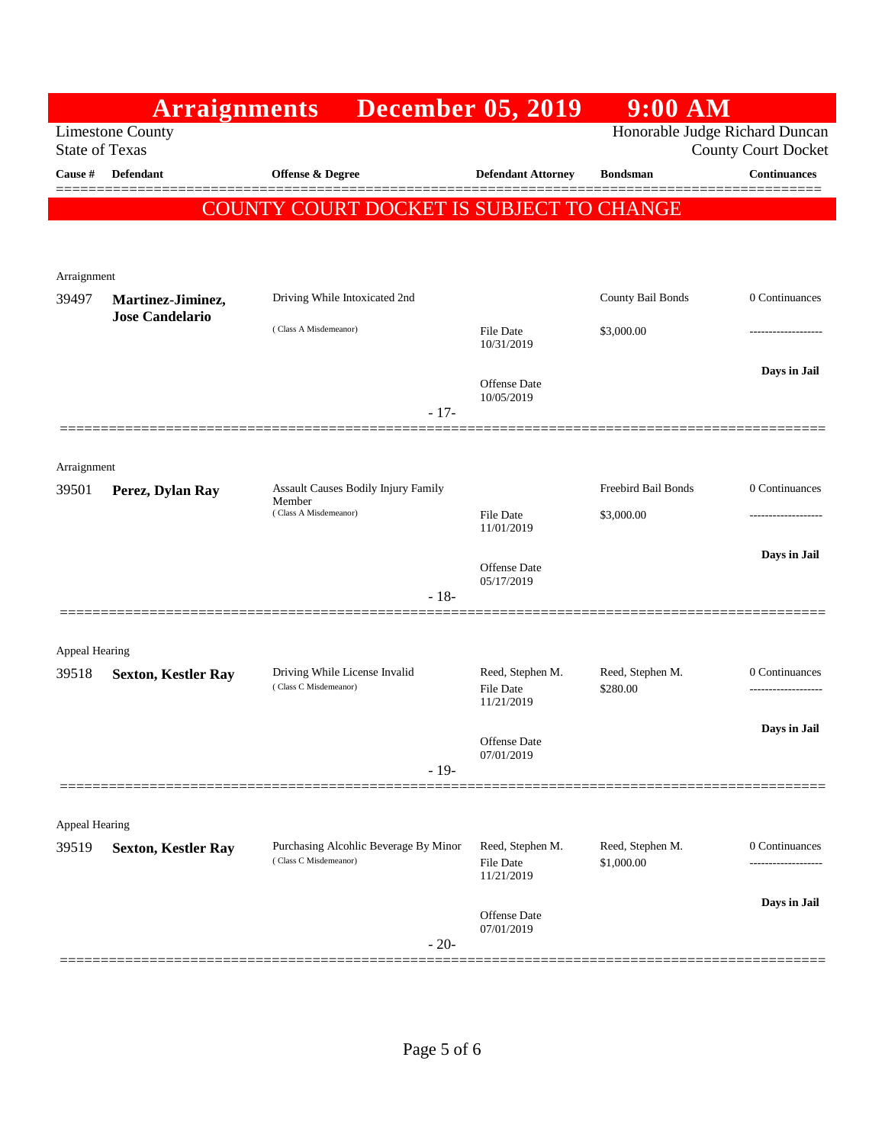|                       | <b>Arraignments</b>        |                                                                | <b>December 05, 2019</b>                           | $9:00$ AM                      |                     |
|-----------------------|----------------------------|----------------------------------------------------------------|----------------------------------------------------|--------------------------------|---------------------|
| <b>State of Texas</b> | <b>Limestone County</b>    | Honorable Judge Richard Duncan<br><b>County Court Docket</b>   |                                                    |                                |                     |
| Cause #               | Defendant                  | Offense & Degree                                               | <b>Defendant Attorney</b>                          | <b>Bondsman</b>                | <b>Continuances</b> |
|                       |                            | COUNTY COURT DOCKET IS SUBJECT TO CHANGE                       |                                                    |                                |                     |
|                       |                            |                                                                |                                                    |                                |                     |
| Arraignment           |                            |                                                                |                                                    |                                |                     |
| 39497                 | Martinez-Jiminez,          | Driving While Intoxicated 2nd                                  |                                                    | County Bail Bonds              | 0 Continuances      |
|                       | <b>Jose Candelario</b>     | (Class A Misdemeanor)                                          | File Date<br>10/31/2019                            | \$3,000.00                     | ---------------     |
|                       |                            | $-17-$                                                         | <b>Offense</b> Date<br>10/05/2019                  |                                | Days in Jail        |
|                       |                            |                                                                |                                                    |                                |                     |
| Arraignment           |                            |                                                                |                                                    |                                |                     |
| 39501                 | Perez, Dylan Ray           | Assault Causes Bodily Injury Family<br>Member                  |                                                    | Freebird Bail Bonds            | 0 Continuances      |
|                       |                            | (Class A Misdemeanor)                                          | <b>File Date</b><br>11/01/2019                     | \$3,000.00                     | -----------------   |
|                       |                            |                                                                | <b>Offense</b> Date                                |                                | Days in Jail        |
|                       |                            | $-18-$                                                         | 05/17/2019                                         |                                |                     |
|                       |                            |                                                                |                                                    |                                |                     |
| Appeal Hearing        |                            |                                                                |                                                    |                                |                     |
| 39518                 | <b>Sexton, Kestler Ray</b> | Driving While License Invalid<br>(Class C Misdemeanor)         | Reed, Stephen M.<br><b>File Date</b><br>11/21/2019 | Reed, Stephen M.<br>\$280.00   | 0 Continuances      |
|                       |                            |                                                                |                                                    |                                | Days in Jail        |
|                       |                            | $-19-$                                                         | Offense Date<br>07/01/2019                         |                                |                     |
|                       |                            |                                                                |                                                    |                                |                     |
| Appeal Hearing        |                            |                                                                |                                                    |                                |                     |
| 39519                 | <b>Sexton, Kestler Ray</b> | Purchasing Alcohlic Beverage By Minor<br>(Class C Misdemeanor) | Reed, Stephen M.<br><b>File Date</b><br>11/21/2019 | Reed, Stephen M.<br>\$1,000.00 | 0 Continuances<br>. |
|                       |                            |                                                                | Offense Date<br>07/01/2019                         |                                | Days in Jail        |
|                       |                            | $-20-$                                                         |                                                    |                                |                     |